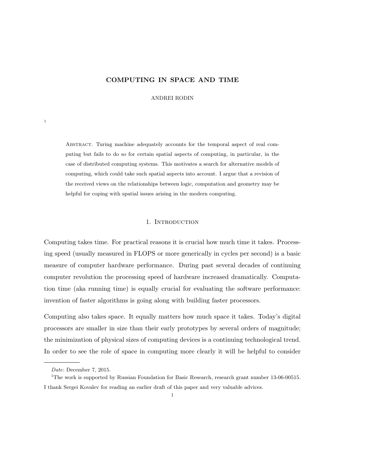# COMPUTING IN SPACE AND TIME

ANDREI RODIN

Abstract. Turing machine adequately accounts for the temporal aspect of real computing but fails to do so for certain spatial aspects of computing, in particular, in the case of distributed computing systems. This motivates a search for alternative models of computing, which could take such spatial aspects into account. I argue that a revision of the received views on the relationships between logic, computation and geometry may be helpful for coping with spatial issues arising in the modern computing.

# 1. INTRODUCTION

Computing takes time. For practical reasons it is crucial how much time it takes. Processing speed (usually measured in FLOPS or more generically in cycles per second) is a basic measure of computer hardware performance. During past several decades of continuing computer revolution the processing speed of hardware increased dramatically. Computation time (aka running time) is equally crucial for evaluating the software performance: invention of faster algorithms is going along with building faster processors.

Computing also takes space. It equally matters how much space it takes. Today's digital processors are smaller in size than their early prototypes by several orders of magnitude; the minimization of physical sizes of computing devices is a continuing technological trend. In order to see the role of space in computing more clearly it will be helpful to consider

1

Date: December 7, 2015.

<sup>&</sup>lt;sup>1</sup>The work is supported by Russian Foundation for Basic Research, research grant number 13-06-00515. I thank Sergei Kovalev for reading an earlier draft of this paper and very valuable advices.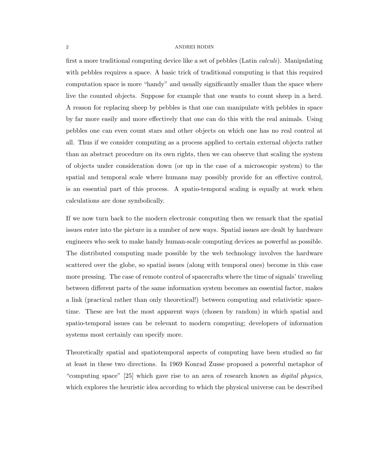first a more traditional computing device like a set of pebbles (Latin *calculi*). Manipulating with pebbles requires a space. A basic trick of traditional computing is that this required computation space is more "handy" and usually significantly smaller than the space where live the counted objects. Suppose for example that one wants to count sheep in a herd. A reason for replacing sheep by pebbles is that one can manipulate with pebbles in space by far more easily and more effectively that one can do this with the real animals. Using pebbles one can even count stars and other objects on which one has no real control at all. Thus if we consider computing as a process applied to certain external objects rather than an abstract procedure on its own rights, then we can observe that scaling the system of objects under consideration down (or up in the case of a microscopic system) to the spatial and temporal scale where humans may possibly provide for an effective control, is an essential part of this process. A spatio-temporal scaling is equally at work when calculations are done symbolically.

If we now turn back to the modern electronic computing then we remark that the spatial issues enter into the picture in a number of new ways. Spatial issues are dealt by hardware engineers who seek to make handy human-scale computing devices as powerful as possible. The distributed computing made possible by the web technology involves the hardware scattered over the globe, so spatial issues (along with temporal ones) become in this case more pressing. The case of remote control of spacecrafts where the time of signals' traveling between different parts of the same information system becomes an essential factor, makes a link (practical rather than only theoretical!) between computing and relativistic spacetime. These are but the most apparent ways (chosen by random) in which spatial and spatio-temporal issues can be relevant to modern computing; developers of information systems most certainly can specify more.

Theoretically spatial and spatiotemporal aspects of computing have been studied so far at least in these two directions. In 1969 Konrad Zusse proposed a powerful metaphor of "computing space" [25] which gave rise to an area of research known as digital physics, which explores the heuristic idea according to which the physical universe can be described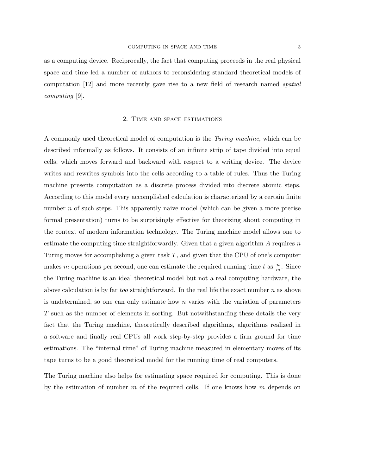as a computing device. Reciprocally, the fact that computing proceeds in the real physical space and time led a number of authors to reconsidering standard theoretical models of computation [12] and more recently gave rise to a new field of research named spatial computing [9].

#### 2. Time and space estimations

A commonly used theoretical model of computation is the Turing machine, which can be described informally as follows. It consists of an infinite strip of tape divided into equal cells, which moves forward and backward with respect to a writing device. The device writes and rewrites symbols into the cells according to a table of rules. Thus the Turing machine presents computation as a discrete process divided into discrete atomic steps. According to this model every accomplished calculation is characterized by a certain finite number n of such steps. This apparently naive model (which can be given a more precise formal presentation) turns to be surprisingly effective for theorizing about computing in the context of modern information technology. The Turing machine model allows one to estimate the computing time straightforwardly. Given that a given algorithm  $A$  requires  $n$ Turing moves for accomplishing a given task T, and given that the CPU of one's computer makes m operations per second, one can estimate the required running time t as  $\frac{n}{m}$ . Since the Turing machine is an ideal theoretical model but not a real computing hardware, the above calculation is by far too straightforward. In the real life the exact number  $n$  as above is undetermined, so one can only estimate how n varies with the variation of parameters T such as the number of elements in sorting. But notwithstanding these details the very fact that the Turing machine, theoretically described algorithms, algorithms realized in a software and finally real CPUs all work step-by-step provides a firm ground for time estimations. The "internal time" of Turing machine measured in elementary moves of its tape turns to be a good theoretical model for the running time of real computers.

The Turing machine also helps for estimating space required for computing. This is done by the estimation of number m of the required cells. If one knows how m depends on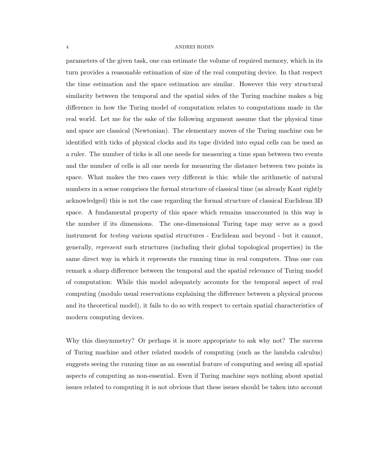parameters of the given task, one can estimate the volume of required memory, which in its turn provides a reasonable estimation of size of the real computing device. In that respect the time estimation and the space estimation are similar. However this very structural similarity between the temporal and the spatial sides of the Turing machine makes a big difference in how the Turing model of computation relates to computations made in the real world. Let me for the sake of the following argument assume that the physical time and space are classical (Newtonian). The elementary moves of the Turing machine can be identified with ticks of physical clocks and its tape divided into equal cells can be used as a ruler. The number of ticks is all one needs for measuring a time span between two events and the number of cells is all one needs for measuring the distance between two points in space. What makes the two cases very different is this: while the arithmetic of natural numbers in a sense comprises the formal structure of classical time (as already Kant rightly acknowledged) this is not the case regarding the formal structure of classical Euclidean 3D space. A fundamental property of this space which remains unaccounted in this way is the number if its dimensions. The one-dimensional Turing tape may serve as a good instrument for testing various spatial structures - Euclidean and beyond - but it cannot, generally, represent such structures (including their global topological properties) in the same direct way in which it represents the running time in real computers. Thus one can remark a sharp difference between the temporal and the spatial relevance of Turing model of computation: While this model adequately accounts for the temporal aspect of real computing (modulo usual reservations explaining the difference between a physical process and its theoretical model), it fails to do so with respect to certain spatial characteristics of modern computing devices.

Why this dissymmetry? Or perhaps it is more appropriate to ask why not? The success of Turing machine and other related models of computing (such as the lambda calculus) suggests seeing the running time as an essential feature of computing and seeing all spatial aspects of computing as non-essential. Even if Turing machine says nothing about spatial issues related to computing it is not obvious that these issues should be taken into account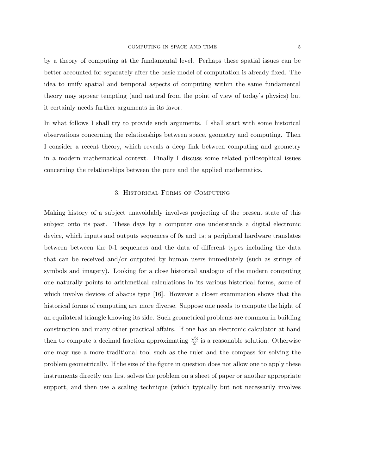by a theory of computing at the fundamental level. Perhaps these spatial issues can be better accounted for separately after the basic model of computation is already fixed. The idea to unify spatial and temporal aspects of computing within the same fundamental theory may appear tempting (and natural from the point of view of today's physics) but it certainly needs further arguments in its favor.

In what follows I shall try to provide such arguments. I shall start with some historical observations concerning the relationships between space, geometry and computing. Then I consider a recent theory, which reveals a deep link between computing and geometry in a modern mathematical context. Finally I discuss some related philosophical issues concerning the relationships between the pure and the applied mathematics.

# 3. Historical Forms of Computing

Making history of a subject unavoidably involves projecting of the present state of this subject onto its past. These days by a computer one understands a digital electronic device, which inputs and outputs sequences of 0s and 1s; a peripheral hardware translates between between the 0-1 sequences and the data of different types including the data that can be received and/or outputed by human users immediately (such as strings of symbols and imagery). Looking for a close historical analogue of the modern computing one naturally points to arithmetical calculations in its various historical forms, some of which involve devices of abacus type [16]. However a closer examination shows that the historical forms of computing are more diverse. Suppose one needs to compute the hight of an equilateral triangle knowing its side. Such geometrical problems are common in building construction and many other practical affairs. If one has an electronic calculator at hand then to compute a decimal fraction approximating  $\sqrt{3}$  $\frac{\sqrt{3}}{2}$  is a reasonable solution. Otherwise one may use a more traditional tool such as the ruler and the compass for solving the problem geometrically. If the size of the figure in question does not allow one to apply these instruments directly one first solves the problem on a sheet of paper or another appropriate support, and then use a scaling technique (which typically but not necessarily involves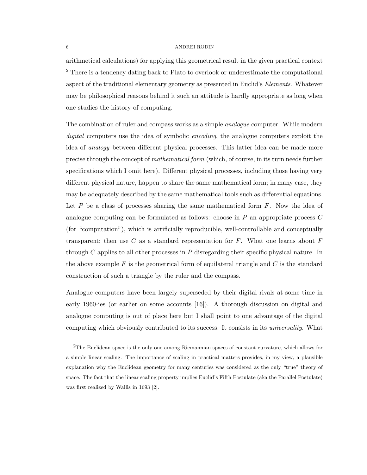arithmetical calculations) for applying this geometrical result in the given practical context  $2$  There is a tendency dating back to Plato to overlook or underestimate the computational aspect of the traditional elementary geometry as presented in Euclid's Elements. Whatever may be philosophical reasons behind it such an attitude is hardly appropriate as long when one studies the history of computing.

The combination of ruler and compass works as a simple *analogue* computer. While modern digital computers use the idea of symbolic encoding, the analogue computers exploit the idea of analogy between different physical processes. This latter idea can be made more precise through the concept of mathematical form (which, of course, in its turn needs further specifications which I omit here). Different physical processes, including those having very different physical nature, happen to share the same mathematical form; in many case, they may be adequately described by the same mathematical tools such as differential equations. Let  $P$  be a class of processes sharing the same mathematical form  $F$ . Now the idea of analogue computing can be formulated as follows: choose in  $P$  an appropriate process  $C$ (for "computation"), which is artificially reproducible, well-controllable and conceptually transparent; then use C as a standard representation for  $F$ . What one learns about  $F$ through C applies to all other processes in  $P$  disregarding their specific physical nature. In the above example  $F$  is the geometrical form of equilateral triangle and  $C$  is the standard construction of such a triangle by the ruler and the compass.

Analogue computers have been largely superseded by their digital rivals at some time in early 1960-ies (or earlier on some accounts [16]). A thorough discussion on digital and analogue computing is out of place here but I shall point to one advantage of the digital computing which obviously contributed to its success. It consists in its universality. What

<sup>2</sup>The Euclidean space is the only one among Riemannian spaces of constant curvature, which allows for a simple linear scaling. The importance of scaling in practical matters provides, in my view, a plausible explanation why the Euclidean geometry for many centuries was considered as the only "true" theory of space. The fact that the linear scaling property implies Euclid's Fifth Postulate (aka the Parallel Postulate) was first realized by Wallis in 1693 [2].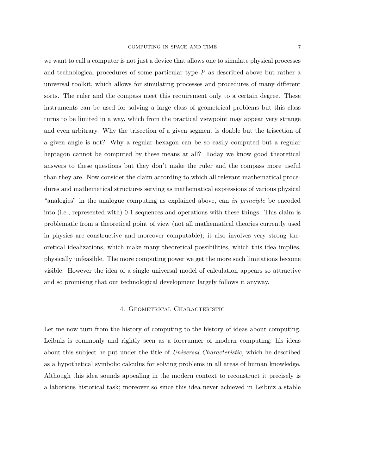we want to call a computer is not just a device that allows one to simulate physical processes and technological procedures of some particular type  $P$  as described above but rather a universal toolkit, which allows for simulating processes and procedures of many different sorts. The ruler and the compass meet this requirement only to a certain degree. These instruments can be used for solving a large class of geometrical problems but this class turns to be limited in a way, which from the practical viewpoint may appear very strange and even arbitrary. Why the trisection of a given segment is doable but the trisection of a given angle is not? Why a regular hexagon can be so easily computed but a regular heptagon cannot be computed by these means at all? Today we know good theoretical answers to these questions but they don't make the ruler and the compass more useful than they are. Now consider the claim according to which all relevant mathematical procedures and mathematical structures serving as mathematical expressions of various physical "analogies" in the analogue computing as explained above, can in principle be encoded into (i.e., represented with) 0-1 sequences and operations with these things. This claim is problematic from a theoretical point of view (not all mathematical theories currently used in physics are constructive and moreover computable); it also involves very strong theoretical idealizations, which make many theoretical possibilities, which this idea implies, physically unfeasible. The more computing power we get the more such limitations become visible. However the idea of a single universal model of calculation appears so attractive and so promising that our technological development largely follows it anyway.

#### 4. Geometrical Characteristic

Let me now turn from the history of computing to the history of ideas about computing. Leibniz is commonly and rightly seen as a forerunner of modern computing; his ideas about this subject he put under the title of *Universal Characteristic*, which he described as a hypothetical symbolic calculus for solving problems in all areas of human knowledge. Although this idea sounds appealing in the modern context to reconstruct it precisely is a laborious historical task; moreover so since this idea never achieved in Leibniz a stable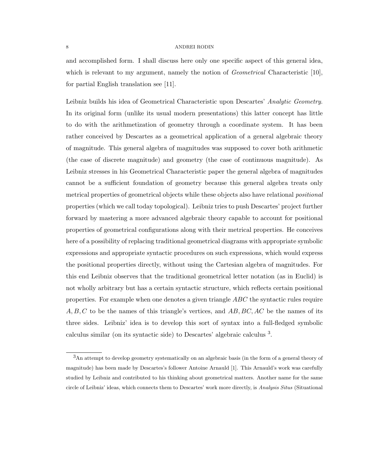and accomplished form. I shall discuss here only one specific aspect of this general idea, which is relevant to my argument, namely the notion of *Geometrical* Characteristic [10], for partial English translation see [11].

Leibniz builds his idea of Geometrical Characteristic upon Descartes' Analytic Geometry. In its original form (unlike its usual modern presentations) this latter concept has little to do with the arithmetization of geometry through a coordinate system. It has been rather conceived by Descartes as a geometrical application of a general algebraic theory of magnitude. This general algebra of magnitudes was supposed to cover both arithmetic (the case of discrete magnitude) and geometry (the case of continuous magnitude). As Leibniz stresses in his Geometrical Characteristic paper the general algebra of magnitudes cannot be a sufficient foundation of geometry because this general algebra treats only metrical properties of geometrical objects while these objects also have relational *positional* properties (which we call today topological). Leibniz tries to push Descartes' project further forward by mastering a more advanced algebraic theory capable to account for positional properties of geometrical configurations along with their metrical properties. He conceives here of a possibility of replacing traditional geometrical diagrams with appropriate symbolic expressions and appropriate syntactic procedures on such expressions, which would express the positional properties directly, without using the Cartesian algebra of magnitudes. For this end Leibniz observes that the traditional geometrical letter notation (as in Euclid) is not wholly arbitrary but has a certain syntactic structure, which reflects certain positional properties. For example when one denotes a given triangle ABC the syntactic rules require  $A, B, C$  to be the names of this triangle's vertices, and  $AB, BC, AC$  be the names of its three sides. Leibniz' idea is to develop this sort of syntax into a full-fledged symbolic calculus similar (on its syntactic side) to Descartes' algebraic calculus <sup>3</sup> .

 $3$ An attempt to develop geometry systematically on an algebraic basis (in the form of a general theory of magnitude) has been made by Descartes's follower Antoine Arnauld [1]. This Arnauld's work was carefully studied by Leibniz and contributed to his thinking about geometrical matters. Another name for the same circle of Leibniz' ideas, which connects them to Descartes' work more directly, is Analysis Situs (Situational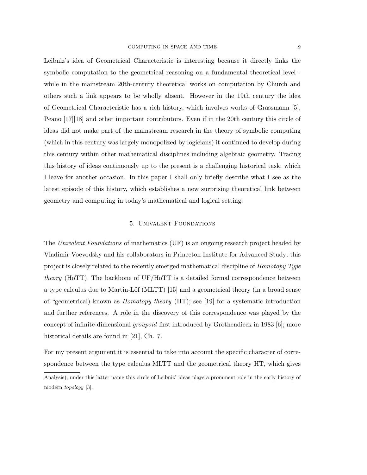Leibniz's idea of Geometrical Characteristic is interesting because it directly links the symbolic computation to the geometrical reasoning on a fundamental theoretical level while in the mainstream 20th-century theoretical works on computation by Church and others such a link appears to be wholly absent. However in the 19th century the idea of Geometrical Characteristic has a rich history, which involves works of Grassmann [5], Peano [17][18] and other important contributors. Even if in the 20th century this circle of ideas did not make part of the mainstream research in the theory of symbolic computing (which in this century was largely monopolized by logicians) it continued to develop during this century within other mathematical disciplines including algebraic geometry. Tracing this history of ideas continuously up to the present is a challenging historical task, which I leave for another occasion. In this paper I shall only briefly describe what I see as the latest episode of this history, which establishes a new surprising theoretical link between geometry and computing in today's mathematical and logical setting.

#### 5. Univalent Foundations

The Univalent Foundations of mathematics (UF) is an ongoing research project headed by Vladimir Voevodsky and his collaborators in Princeton Institute for Advanced Study; this project is closely related to the recently emerged mathematical discipline of Homotopy Type *theory* (HoTT). The backbone of  $UF/HoTT$  is a detailed formal correspondence between a type calculus due to Martin-Löf (MLTT) [15] and a geometrical theory (in a broad sense of "geometrical) known as Homotopy theory (HT); see [19] for a systematic introduction and further references. A role in the discovery of this correspondence was played by the concept of infinite-dimensional *groupoid* first introduced by Grothendieck in 1983 [6]; more historical details are found in [21], Ch. 7.

For my present argument it is essential to take into account the specific character of correspondence between the type calculus MLTT and the geometrical theory HT, which gives

Analysis); under this latter name this circle of Leibniz' ideas plays a prominent role in the early history of modern topology [3].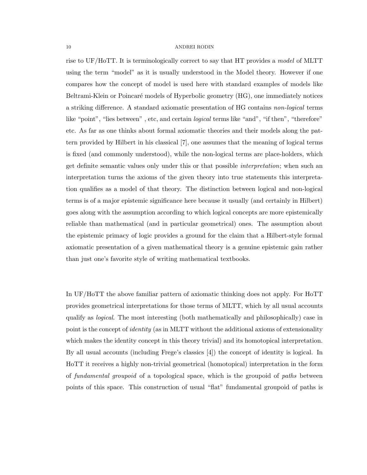rise to UF/HoTT. It is terminologically correct to say that HT provides a model of MLTT using the term "model" as it is usually understood in the Model theory. However if one compares how the concept of model is used here with standard examples of models like Beltrami-Klein or Poincaré models of Hyperbolic geometry (HG), one immediately notices a striking difference. A standard axiomatic presentation of HG contains non-logical terms like "point", "lies between", etc, and certain *logical* terms like "and", "if then", "therefore" etc. As far as one thinks about formal axiomatic theories and their models along the pattern provided by Hilbert in his classical [7], one assumes that the meaning of logical terms is fixed (and commonly understood), while the non-logical terms are place-holders, which get definite semantic values only under this or that possible *interpretation*; when such an interpretation turns the axioms of the given theory into true statements this interpretation qualifies as a model of that theory. The distinction between logical and non-logical terms is of a major epistemic significance here because it usually (and certainly in Hilbert) goes along with the assumption according to which logical concepts are more epistemically reliable than mathematical (and in particular geometrical) ones. The assumption about the epistemic primacy of logic provides a ground for the claim that a Hilbert-style formal axiomatic presentation of a given mathematical theory is a genuine epistemic gain rather than just one's favorite style of writing mathematical textbooks.

In UF/HoTT the above familiar pattern of axiomatic thinking does not apply. For HoTT provides geometrical interpretations for those terms of MLTT, which by all usual accounts qualify as logical. The most interesting (both mathematically and philosophically) case in point is the concept of *identity* (as in MLTT without the additional axioms of extensionality which makes the identity concept in this theory trivial) and its homotopical interpretation. By all usual accounts (including Frege's classics [4]) the concept of identity is logical. In HoTT it receives a highly non-trivial geometrical (homotopical) interpretation in the form of fundamental groupoid of a topological space, which is the groupoid of paths between points of this space. This construction of usual "flat" fundamental groupoid of paths is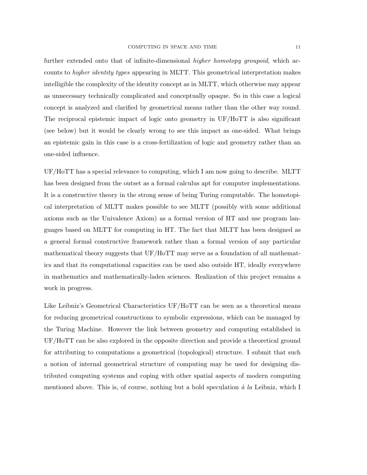further extended onto that of infinite-dimensional *higher homotopy groupoid*, which accounts to *higher identity types* appearing in MLTT. This geometrical interpretation makes intelligible the complexity of the identity concept as in MLTT, which otherwise may appear as unnecessary technically complicated and conceptually opaque. So in this case a logical concept is analyzed and clarified by geometrical means rather than the other way round. The reciprocal epistemic impact of logic onto geometry in UF/HoTT is also significant (see below) but it would be clearly wrong to see this impact as one-sided. What brings an epistemic gain in this case is a cross-fertilization of logic and geometry rather than an one-sided influence.

UF/HoTT has a special relevance to computing, which I am now going to describe. MLTT has been designed from the outset as a formal calculus apt for computer implementations. It is a constructive theory in the strong sense of being Turing computable. The homotopical interpretation of MLTT makes possible to see MLTT (possibly with some additional axioms such as the Univalence Axiom) as a formal version of HT and use program languages based on MLTT for computing in HT. The fact that MLTT has been designed as a general formal constructive framework rather than a formal version of any particular mathematical theory suggests that UF/HoTT may serve as a foundation of all mathematics and that its computational capacities can be used also outside HT, ideally everywhere in mathematics and mathematically-laden sciences. Realization of this project remains a work in progress.

Like Leibniz's Geometrical Characteristics UF/HoTT can be seen as a theoretical means for reducing geometrical constructions to symbolic expressions, which can be managed by the Turing Machine. However the link between geometry and computing established in UF/HoTT can be also explored in the opposite direction and provide a theoretical ground for attributing to computations a geometrical (topological) structure. I submit that such a notion of internal geometrical structure of computing may be used for designing distributed computing systems and coping with other spatial aspects of modern computing mentioned above. This is, of course, nothing but a bold speculation  $\dot{a}$  la Leibniz, which I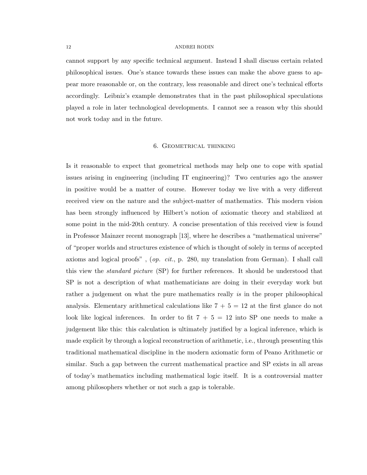cannot support by any specific technical argument. Instead I shall discuss certain related philosophical issues. One's stance towards these issues can make the above guess to appear more reasonable or, on the contrary, less reasonable and direct one's technical efforts accordingly. Leibniz's example demonstrates that in the past philosophical speculations played a role in later technological developments. I cannot see a reason why this should not work today and in the future.

# 6. Geometrical thinking

Is it reasonable to expect that geometrical methods may help one to cope with spatial issues arising in engineering (including IT engineering)? Two centuries ago the answer in positive would be a matter of course. However today we live with a very different received view on the nature and the subject-matter of mathematics. This modern vision has been strongly influenced by Hilbert's notion of axiomatic theory and stabilized at some point in the mid-20th century. A concise presentation of this received view is found in Professor Mainzer recent monograph [13], where he describes a "mathematical universe" of "proper worlds and structures existence of which is thought of solely in terms of accepted axioms and logical proofs",  $(op. cit., p. 280, my translation from German). I shall call$ this view the *standard picture* (SP) for further references. It should be understood that SP is not a description of what mathematicians are doing in their everyday work but rather a judgement on what the pure mathematics really is in the proper philosophical analysis. Elementary arithmetical calculations like  $7 + 5 = 12$  at the first glance do not look like logical inferences. In order to fit  $7 + 5 = 12$  into SP one needs to make a judgement like this: this calculation is ultimately justified by a logical inference, which is made explicit by through a logical reconstruction of arithmetic, i.e., through presenting this traditional mathematical discipline in the modern axiomatic form of Peano Arithmetic or similar. Such a gap between the current mathematical practice and SP exists in all areas of today's mathematics including mathematical logic itself. It is a controversial matter among philosophers whether or not such a gap is tolerable.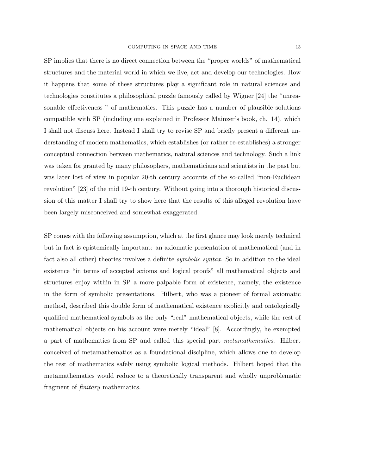SP implies that there is no direct connection between the "proper worlds" of mathematical structures and the material world in which we live, act and develop our technologies. How it happens that some of these structures play a significant role in natural sciences and technologies constitutes a philosophical puzzle famously called by Wigner [24] the "unreasonable effectiveness " of mathematics. This puzzle has a number of plausible solutions compatible with SP (including one explained in Professor Mainzer's book, ch. 14), which I shall not discuss here. Instead I shall try to revise SP and briefly present a different understanding of modern mathematics, which establishes (or rather re-establishes) a stronger conceptual connection between mathematics, natural sciences and technology. Such a link was taken for granted by many philosophers, mathematicians and scientists in the past but was later lost of view in popular 20-th century accounts of the so-called "non-Euclidean" revolution" [23] of the mid 19-th century. Without going into a thorough historical discussion of this matter I shall try to show here that the results of this alleged revolution have been largely misconceived and somewhat exaggerated.

SP comes with the following assumption, which at the first glance may look merely technical but in fact is epistemically important: an axiomatic presentation of mathematical (and in fact also all other) theories involves a definite *symbolic syntax*. So in addition to the ideal existence "in terms of accepted axioms and logical proofs" all mathematical objects and structures enjoy within in SP a more palpable form of existence, namely, the existence in the form of symbolic presentations. Hilbert, who was a pioneer of formal axiomatic method, described this double form of mathematical existence explicitly and ontologically qualified mathematical symbols as the only "real" mathematical objects, while the rest of mathematical objects on his account were merely "ideal" [8]. Accordingly, he exempted a part of mathematics from SP and called this special part metamathematics. Hilbert conceived of metamathematics as a foundational discipline, which allows one to develop the rest of mathematics safely using symbolic logical methods. Hilbert hoped that the metamathematics would reduce to a theoretically transparent and wholly unproblematic fragment of finitary mathematics.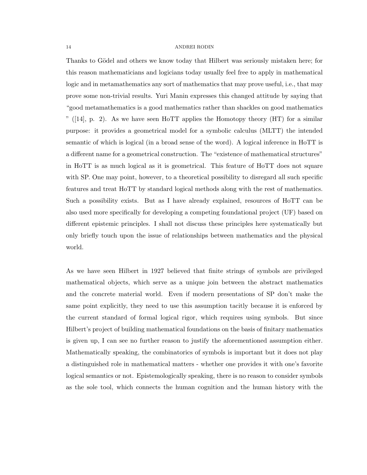Thanks to Gödel and others we know today that Hilbert was seriously mistaken here; for this reason mathematicians and logicians today usually feel free to apply in mathematical logic and in metamathematics any sort of mathematics that may prove useful, i.e., that may prove some non-trivial results. Yuri Manin expresses this changed attitude by saying that "good metamathematics is a good mathematics rather than shackles on good mathematics  $\lq$  ([14], p. 2). As we have seen HoTT applies the Homotopy theory (HT) for a similar purpose: it provides a geometrical model for a symbolic calculus (MLTT) the intended semantic of which is logical (in a broad sense of the word). A logical inference in HoTT is a different name for a geometrical construction. The "existence of mathematical structures" in HoTT is as much logical as it is geometrical. This feature of HoTT does not square with SP. One may point, however, to a theoretical possibility to disregard all such specific features and treat HoTT by standard logical methods along with the rest of mathematics. Such a possibility exists. But as I have already explained, resources of HoTT can be also used more specifically for developing a competing foundational project (UF) based on different epistemic principles. I shall not discuss these principles here systematically but only briefly touch upon the issue of relationships between mathematics and the physical world.

As we have seen Hilbert in 1927 believed that finite strings of symbols are privileged mathematical objects, which serve as a unique join between the abstract mathematics and the concrete material world. Even if modern presentations of SP don't make the same point explicitly, they need to use this assumption tacitly because it is enforced by the current standard of formal logical rigor, which requires using symbols. But since Hilbert's project of building mathematical foundations on the basis of finitary mathematics is given up, I can see no further reason to justify the aforementioned assumption either. Mathematically speaking, the combinatorics of symbols is important but it does not play a distinguished role in mathematical matters - whether one provides it with one's favorite logical semantics or not. Epistemologically speaking, there is no reason to consider symbols as the sole tool, which connects the human cognition and the human history with the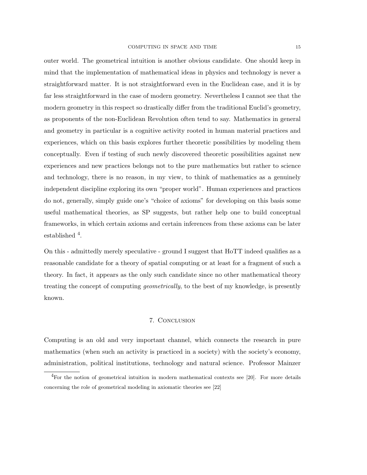outer world. The geometrical intuition is another obvious candidate. One should keep in mind that the implementation of mathematical ideas in physics and technology is never a straightforward matter. It is not straightforward even in the Euclidean case, and it is by far less straightforward in the case of modern geometry. Nevertheless I cannot see that the modern geometry in this respect so drastically differ from the traditional Euclid's geometry, as proponents of the non-Euclidean Revolution often tend to say. Mathematics in general and geometry in particular is a cognitive activity rooted in human material practices and experiences, which on this basis explores further theoretic possibilities by modeling them conceptually. Even if testing of such newly discovered theoretic possibilities against new experiences and new practices belongs not to the pure mathematics but rather to science and technology, there is no reason, in my view, to think of mathematics as a genuinely independent discipline exploring its own "proper world". Human experiences and practices do not, generally, simply guide one's "choice of axioms" for developing on this basis some useful mathematical theories, as SP suggests, but rather help one to build conceptual frameworks, in which certain axioms and certain inferences from these axioms can be later established <sup>4</sup>.

On this - admittedly merely speculative - ground I suggest that HoTT indeed qualifies as a reasonable candidate for a theory of spatial computing or at least for a fragment of such a theory. In fact, it appears as the only such candidate since no other mathematical theory treating the concept of computing geometrically, to the best of my knowledge, is presently known.

# 7. Conclusion

Computing is an old and very important channel, which connects the research in pure mathematics (when such an activity is practiced in a society) with the society's economy, administration, political institutions, technology and natural science. Professor Mainzer

 ${}^{4}$ For the notion of geometrical intuition in modern mathematical contexts see [20]. For more details concerning the role of geometrical modeling in axiomatic theories see [22]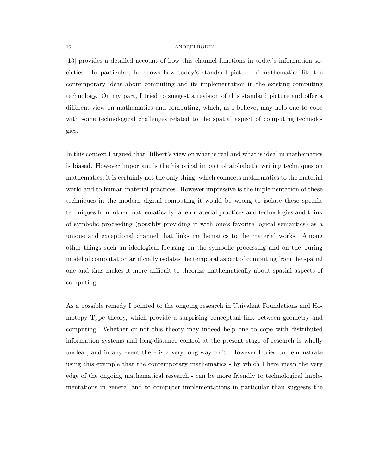[13] provides a detailed account of how this channel functions in today's information societies. In particular, he shows how today's standard picture of mathematics fits the contemporary ideas about computing and its implementation in the existing computing technology. On my part, I tried to suggest a revision of this standard picture and offer a different view on mathematics and computing, which, as I believe, may help one to cope with some technological challenges related to the spatial aspect of computing technologies.

In this context I argued that Hilbert's view on what is real and what is ideal in mathematics is biased. However important is the historical impact of alphabetic writing techniques on mathematics, it is certainly not the only thing, which connects mathematics to the material world and to human material practices. However impressive is the implementation of these techniques in the modern digital computing it would be wrong to isolate these specific techniques from other mathematically-laden material practices and technologies and think of symbolic proceeding (possibly providing it with one's favorite logical semantics) as a unique and exceptional channel that links mathematics to the material works. Among other things such an ideological focusing on the symbolic processing and on the Turing model of computation artificially isolates the temporal aspect of computing from the spatial one and thus makes it more difficult to theorize mathematically about spatial aspects of computing.

As a possible remedy I pointed to the ongoing research in Univalent Foundations and Homotopy Type theory, which provide a surprising conceptual link between geometry and computing. Whether or not this theory may indeed help one to cope with distributed information systems and long-distance control at the present stage of research is wholly unclear, and in any event there is a very long way to it. However I tried to demonstrate using this example that the contemporary mathematics - by which I here mean the very edge of the ongoing mathematical research - can be more friendly to technological implementations in general and to computer implementations in particular than suggests the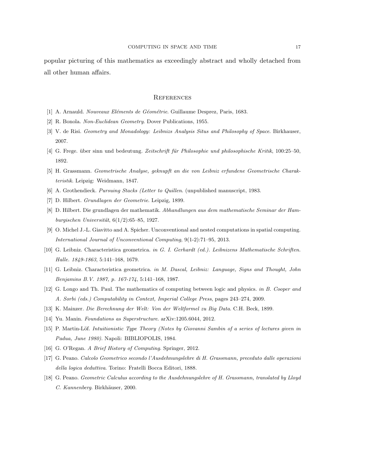popular picturing of this mathematics as exceedingly abstract and wholly detached from all other human affairs.

#### **REFERENCES**

- [1] A. Arnauld. Nouveaux Eléments de Géométrie. Guillaume Desprez, Paris, 1683.
- [2] R. Bonola. Non-Euclidean Geometry. Dover Publications, 1955.
- [3] V. de Risi. Geometry and Monadology: Leibnizs Analysis Situs and Philosophy of Space. Birkhauser, 2007.
- [4] G. Frege. über sinn und bedeutung. Zeitschrift für Philosophie und philosophische Kritik, 100:25–50, 1892.
- [5] H. Grassmann. Geometrische Analyse, geknupft an die von Leibniz erfundene Geometrische Charakteristik. Leipzig: Weidmann, 1847.
- [6] A. Grothendieck. Pursuing Stacks (Letter to Quillen. (unpublished manuscript, 1983.
- [7] D. Hilbert. Grundlagen der Geometrie. Leipzig, 1899.
- [8] D. Hilbert. Die grundlagen der mathematik. Abhandlungen aus dem mathematische Seminar der Hamburgischen Universität,  $6(1/2)$ :65–85, 1927.
- [9] O. Michel J.-L. Giavitto and A. Spicher. Unconventional and nested computations in spatial computing. International Journal of Unconventional Computing, 9(1-2):71–95, 2013.
- [10] G. Leibniz. Characteristica geometrica. in G. I. Gerhardt (ed.). Leibnizens Mathematische Schriften. Halle. 1849-1863, 5:141–168, 1679.
- [11] G. Leibniz. Characteristica geometrica. in M. Dascal, Leibniz: Language, Signs and Thought, John Benjamins B.V. 1987, p. 167-174, 5:141–168, 1987.
- [12] G. Longo and Th. Paul. The mathematics of computing between logic and physics. in B. Cooper and A. Sorbi (eds.) Computability in Context, Imperial College Press, pages 243–274, 2009.
- [13] K. Mainzer. Die Berechnung der Welt: Von der Weltformel zu Big Data. C.H. Beck, 1899.
- [14] Yu. Manin. Foundations as Superstructure. arXiv:1205.6044, 2012.
- [15] P. Martin-Löf. Intuitionistic Type Theory (Notes by Giovanni Sambin of a series of lectures given in Padua, June 1980). Napoli: BIBLIOPOLIS, 1984.
- [16] G. O'Regan. A Brief History of Computing. Springer, 2012.
- [17] G. Peano. Calcolo Geometrico secondo l'Ausdehnungslehre di H. Grassmann, preceduto dalle operazioni della logica deduttiva. Torino: Fratelli Bocca Editori, 1888.
- [18] G. Peano. Geometric Calculus according to the Ausdehnungslehre of H. Grassmann, translated by Lloyd C. Kannenberg. Birkhäuser, 2000.